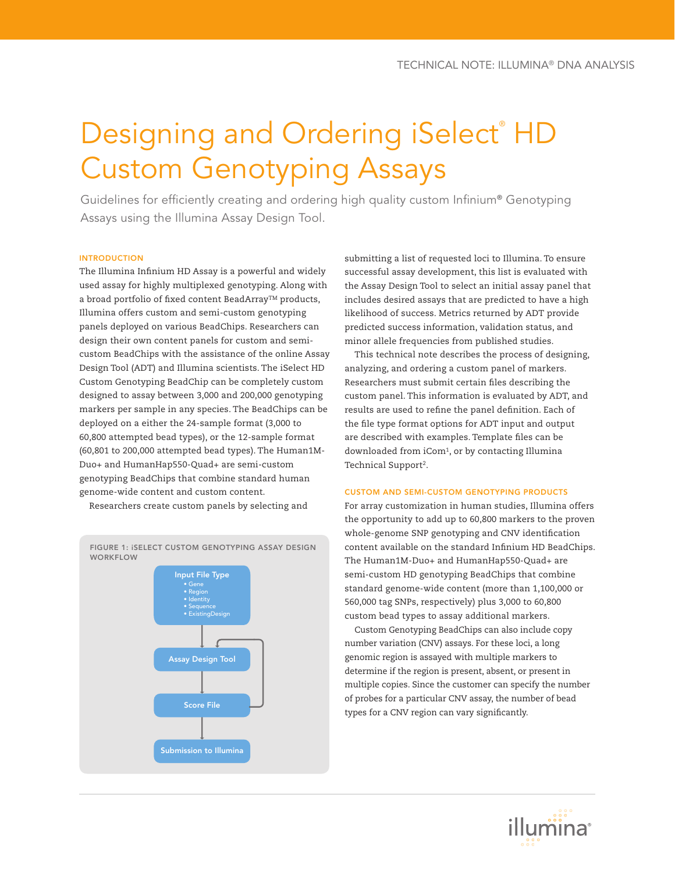# Designing and Ordering iSelect®HD Custom Genotyping Assays

Guidelines for efficiently creating and ordering high quality custom Infinium® Genotyping Assays using the Illumina Assay Design Tool.

# INTRODUCTION

The Illumina Infinium HD Assay is a powerful and widely used assay for highly multiplexed genotyping. Along with a broad portfolio of fixed content BeadArray™ products, Illumina offers custom and semi-custom genotyping panels deployed on various BeadChips. Researchers can design their own content panels for custom and semicustom BeadChips with the assistance of the online Assay Design Tool (ADT) and Illumina scientists. The iSelect HD Custom Genotyping BeadChip can be completely custom designed to assay between 3,000 and 200,000 genotyping markers per sample in any species. The BeadChips can be deployed on a either the 24-sample format (3,000 to 60,800 attempted bead types), or the 12-sample format (60,801 to 200,000 attempted bead types). The Human1M-Duo+ and HumanHap550-Quad+ are semi-custom genotyping BeadChips that combine standard human genome-wide content and custom content.

Researchers create custom panels by selecting and



submitting a list of requested loci to Illumina. To ensure successful assay development, this list is evaluated with the Assay Design Tool to select an initial assay panel that includes desired assays that are predicted to have a high likelihood of success. Metrics returned by ADT provide predicted success information, validation status, and minor allele frequencies from published studies.

This technical note describes the process of designing, analyzing, and ordering a custom panel of markers. Researchers must submit certain files describing the custom panel. This information is evaluated by ADT, and results are used to refine the panel definition. Each of the file type format options for ADT input and output are described with examples. Template files can be downloaded from iCom1, or by contacting Illumina Technical Support2.

# CUSTOM and semi-custom Genotyping PRODUCTs

For array customization in human studies, Illumina offers the opportunity to add up to 60,800 markers to the proven whole-genome SNP genotyping and CNV identification content available on the standard Infinium HD BeadChips. The Human1M-Duo+ and HumanHap550-Quad+ are semi-custom HD genotyping BeadChips that combine standard genome-wide content (more than 1,100,000 or 560,000 tag SNPs, respectively) plus 3,000 to 60,800 custom bead types to assay additional markers.

Custom Genotyping BeadChips can also include copy number variation (CNV) assays. For these loci, a long genomic region is assayed with multiple markers to determine if the region is present, absent, or present in multiple copies. Since the customer can specify the number of probes for a particular CNV assay, the number of bead types for a CNV region can vary significantly.

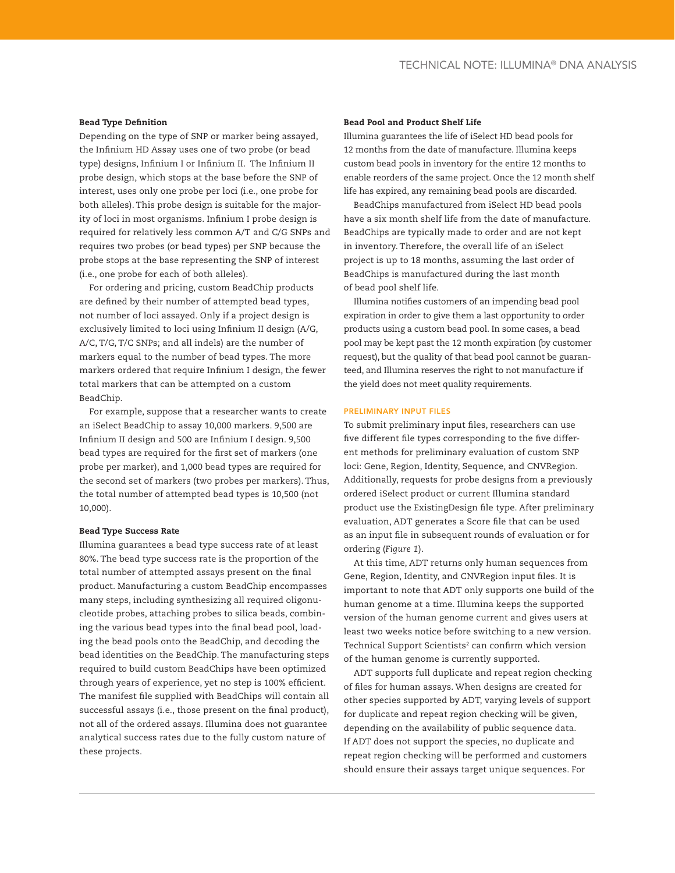# Bead Type Definition

Depending on the type of SNP or marker being assayed, the Infinium HD Assay uses one of two probe (or bead type) designs, Infinium I or Infinium II. The Infinium II probe design, which stops at the base before the SNP of interest, uses only one probe per loci (i.e., one probe for both alleles). This probe design is suitable for the majority of loci in most organisms. Infinium I probe design is required for relatively less common A/T and C/G SNPs and requires two probes (or bead types) per SNP because the probe stops at the base representing the SNP of interest (i.e., one probe for each of both alleles).

For ordering and pricing, custom BeadChip products are defined by their number of attempted bead types, not number of loci assayed. Only if a project design is exclusively limited to loci using Infinium II design (A/G, A/C, T/G, T/C SNPs; and all indels) are the number of markers equal to the number of bead types. The more markers ordered that require Infinium I design, the fewer total markers that can be attempted on a custom BeadChip.

For example, suppose that a researcher wants to create an iSelect BeadChip to assay 10,000 markers. 9,500 are Infinium II design and 500 are Infinium I design. 9,500 bead types are required for the first set of markers (one probe per marker), and 1,000 bead types are required for the second set of markers (two probes per markers). Thus, the total number of attempted bead types is 10,500 (not 10,000).

#### Bead Type Success Rate

Illumina guarantees a bead type success rate of at least 80%. The bead type success rate is the proportion of the total number of attempted assays present on the final product. Manufacturing a custom BeadChip encompasses many steps, including synthesizing all required oligonucleotide probes, attaching probes to silica beads, combining the various bead types into the final bead pool, loading the bead pools onto the BeadChip, and decoding the bead identities on the BeadChip. The manufacturing steps required to build custom BeadChips have been optimized through years of experience, yet no step is 100% efficient. The manifest file supplied with BeadChips will contain all successful assays (i.e., those present on the final product), not all of the ordered assays. Illumina does not guarantee analytical success rates due to the fully custom nature of these projects.

# Bead Pool and Product Shelf Life

Illumina guarantees the life of iSelect HD bead pools for 12 months from the date of manufacture. Illumina keeps custom bead pools in inventory for the entire 12 months to enable reorders of the same project. Once the 12 month shelf life has expired, any remaining bead pools are discarded.

BeadChips manufactured from iSelect HD bead pools have a six month shelf life from the date of manufacture. BeadChips are typically made to order and are not kept in inventory. Therefore, the overall life of an iSelect project is up to 18 months, assuming the last order of BeadChips is manufactured during the last month of bead pool shelf life.

Illumina notifies customers of an impending bead pool expiration in order to give them a last opportunity to order products using a custom bead pool. In some cases, a bead pool may be kept past the 12 month expiration (by customer request), but the quality of that bead pool cannot be guaranteed, and Illumina reserves the right to not manufacture if the yield does not meet quality requirements.

# Preliminary input files

To submit preliminary input files, researchers can use five different file types corresponding to the five different methods for preliminary evaluation of custom SNP loci: Gene, Region, Identity, Sequence, and CNVRegion. Additionally, requests for probe designs from a previously ordered iSelect product or current Illumina standard product use the ExistingDesign file type. After preliminary evaluation, ADT generates a Score file that can be used as an input file in subsequent rounds of evaluation or for ordering (*Figure 1*).

At this time, ADT returns only human sequences from Gene, Region, Identity, and CNVRegion input files. It is important to note that ADT only supports one build of the human genome at a time. Illumina keeps the supported version of the human genome current and gives users at least two weeks notice before switching to a new version. Technical Support Scientists<sup>2</sup> can confirm which version of the human genome is currently supported.

ADT supports full duplicate and repeat region checking of files for human assays. When designs are created for other species supported by ADT, varying levels of support for duplicate and repeat region checking will be given, depending on the availability of public sequence data. If ADT does not support the species, no duplicate and repeat region checking will be performed and customers should ensure their assays target unique sequences. For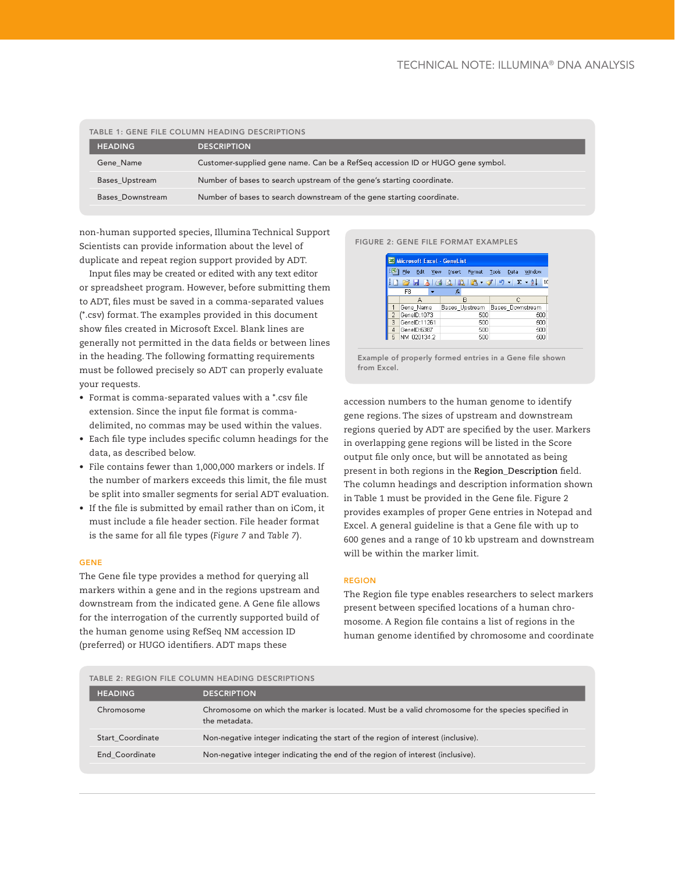| <b>TABLE 1: GENE FILE COLUMN HEADING DESCRIPTIONS</b> |                                                                                |  |  |
|-------------------------------------------------------|--------------------------------------------------------------------------------|--|--|
| <b>HEADING</b>                                        | <b>DESCRIPTION</b>                                                             |  |  |
| Gene Name                                             | Customer-supplied gene name. Can be a RefSeg accession ID or HUGO gene symbol. |  |  |
| Bases_Upstream                                        | Number of bases to search upstream of the gene's starting coordinate.          |  |  |
| Bases Downstream                                      | Number of bases to search downstream of the gene starting coordinate.          |  |  |

non-human supported species, Illumina Technical Support Scientists can provide information about the level of duplicate and repeat region support provided by ADT.

Input files may be created or edited with any text editor or spreadsheet program. However, before submitting them to ADT, files must be saved in a comma-separated values (\*.csv) format. The examples provided in this document show files created in Microsoft Excel. Blank lines are generally not permitted in the data fields or between lines in the heading. The following formatting requirements must be followed precisely so ADT can properly evaluate your requests.

- Format is comma-separated values with a \*.csv file extension. Since the input file format is commadelimited, no commas may be used within the values.
- Each file type includes specific column headings for the data, as described below.
- File contains fewer than 1,000,000 markers or indels. If the number of markers exceeds this limit, the file must be split into smaller segments for serial ADT evaluation.
- If the file is submitted by email rather than on iCom, it must include a file header section. File header format is the same for all file types (*Figure 7* and *Table 7*).

# **GENE**

The Gene file type provides a method for querying all markers within a gene and in the regions upstream and downstream from the indicated gene. A Gene file allows for the interrogation of the currently supported build of the human genome using RefSeq NM accession ID (preferred) or HUGO identifiers. ADT maps these





Example of properly formed entries in a Gene file shown from Excel.

accession numbers to the human genome to identify gene regions. The sizes of upstream and downstream regions queried by ADT are specified by the user. Markers in overlapping gene regions will be listed in the Score output file only once, but will be annotated as being present in both regions in the **Region\_Description** field. The column headings and description information shown in Table 1 must be provided in the Gene file. Figure 2 provides examples of proper Gene entries in Notepad and Excel. A general guideline is that a Gene file with up to 600 genes and a range of 10 kb upstream and downstream will be within the marker limit.

# Region

The Region file type enables researchers to select markers present between specified locations of a human chromosome. A Region file contains a list of regions in the human genome identified by chromosome and coordinate

| TABLE 2: REGION FILE COLUMN HEADING DESCRIPTIONS |                                                                                                                     |  |  |
|--------------------------------------------------|---------------------------------------------------------------------------------------------------------------------|--|--|
| <b>HEADING</b>                                   | <b>DESCRIPTION</b>                                                                                                  |  |  |
| Chromosome                                       | Chromosome on which the marker is located. Must be a valid chromosome for the species specified in<br>the metadata. |  |  |
| <b>Start Coordinate</b>                          | Non-negative integer indicating the start of the region of interest (inclusive).                                    |  |  |
| End Coordinate                                   | Non-negative integer indicating the end of the region of interest (inclusive).                                      |  |  |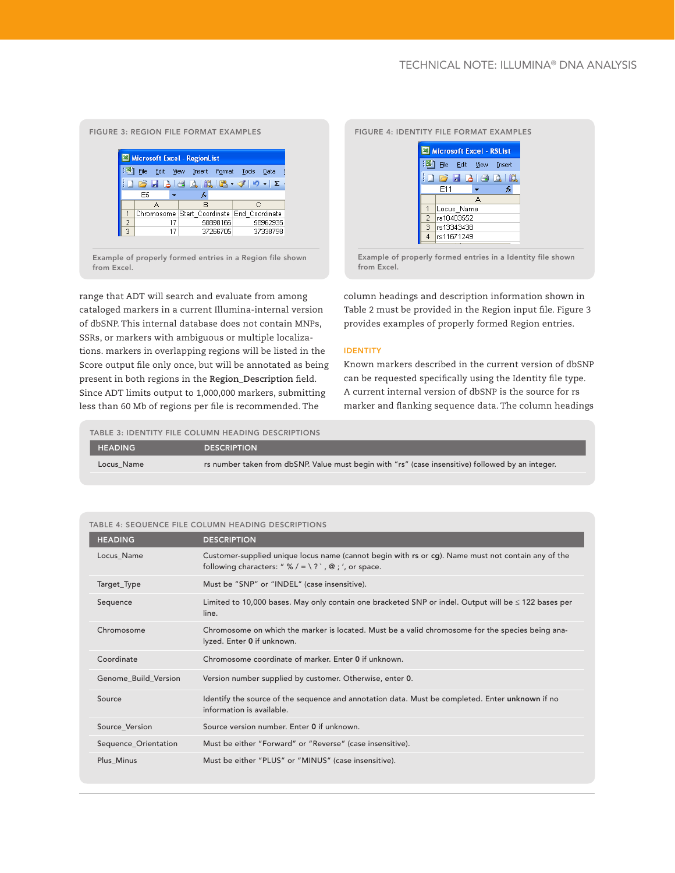# Figure 3: Region File format Examples



range that ADT will search and evaluate from among

cataloged markers in a current Illumina-internal version of dbSNP. This internal database does not contain MNPs, SSRs, or markers with ambiguous or multiple localizations. markers in overlapping regions will be listed in the Score output file only once, but will be annotated as being present in both regions in the **Region\_Description** field. Since ADT limits output to 1,000,000 markers, submitting less than 60 Mb of regions per file is recommended. The

#### Figure 4: identity File format Examples



Example of properly formed entries in a Identity file shown from Excel.

column headings and description information shown in Table 2 must be provided in the Region input file. Figure 3 provides examples of properly formed Region entries.

#### Identity

Known markers described in the current version of dbSNP can be requested specifically using the Identity file type. A current internal version of dbSNP is the source for rs marker and flanking sequence data. The column headings

Table 3: Identity FILE Column HEADING descriptions HEADING DESCRIPTION Locus\_Name rs number taken from dbSNP. Value must begin with "rs" (case insensitive) followed by an integer.

| <b>HEADING</b>       | <b>DESCRIPTION</b>                                                                                                                                         |
|----------------------|------------------------------------------------------------------------------------------------------------------------------------------------------------|
| Locus_Name           | Customer-supplied unique locus name (cannot begin with rs or cg). Name must not contain any of the<br>following characters: " % / = \? `, @ ; ', or space. |
| Target_Type          | Must be "SNP" or "INDEL" (case insensitive).                                                                                                               |
| Sequence             | Limited to 10,000 bases. May only contain one bracketed SNP or indel. Output will be $\leq$ 122 bases per<br>line.                                         |
| Chromosome           | Chromosome on which the marker is located. Must be a valid chromosome for the species being ana-<br>lyzed. Enter 0 if unknown.                             |
| Coordinate           | Chromosome coordinate of marker. Enter 0 if unknown.                                                                                                       |
| Genome Build Version | Version number supplied by customer. Otherwise, enter 0.                                                                                                   |
| Source               | Identify the source of the sequence and annotation data. Must be completed. Enter unknown if no<br>information is available.                               |
| Source Version       | Source version number. Enter 0 if unknown.                                                                                                                 |
| Sequence_Orientation | Must be either "Forward" or "Reverse" (case insensitive).                                                                                                  |
| Plus_Minus           | Must be either "PLUS" or "MINUS" (case insensitive).                                                                                                       |

#### Table 4: Sequence FILE Column HEADING descriptions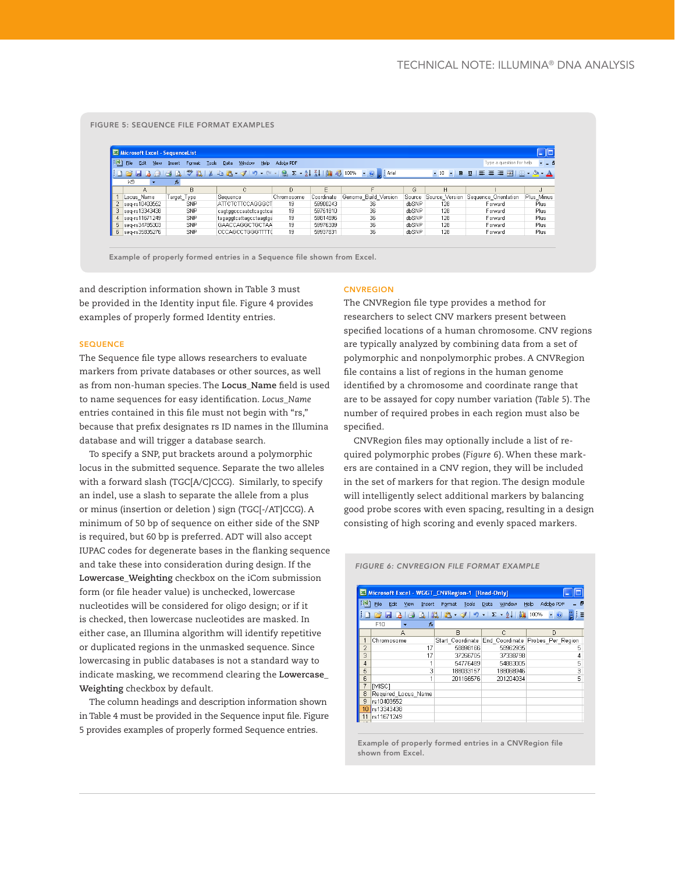#### Figure 5: Sequence File format Examples

|    | Microsoft Excel - SequenceList                                                                                                       |             |                                                                                                                               |            |            |                      |        |                            |                                                                      | $\Box$ o    |
|----|--------------------------------------------------------------------------------------------------------------------------------------|-------------|-------------------------------------------------------------------------------------------------------------------------------|------------|------------|----------------------|--------|----------------------------|----------------------------------------------------------------------|-------------|
|    | 灣 File<br>$\sim -6$<br>Type a question for help<br>Edit<br>Help<br>Adobe PDF<br>View<br>Window<br>Tools:<br>Data<br>Insert<br>Format |             |                                                                                                                               |            |            |                      |        |                            |                                                                      |             |
|    |                                                                                                                                      |             | $\Box$ 2 2 3 3 4 4 $\Box$ 7 2 3 4 $\Box$ 4 $\Box$ 7 4 9 $\Box$ 7 $\Box$ 8 $\Box$ 7 $\Box$ 7 $\Box$ 7 $\Box$ 7 $\Box$ 7 $\Box$ |            |            |                      |        | $\bullet$ 10 $\bullet$ B U | $E \equiv \equiv \equiv  \Box  \cdot  \Diamond  \cdot \underline{A}$ |             |
|    | K9<br>$\overline{\phantom{a}}$                                                                                                       | £.          |                                                                                                                               |            |            |                      |        |                            |                                                                      |             |
|    | А                                                                                                                                    | R           |                                                                                                                               | D.         | F          |                      | G      | н                          |                                                                      |             |
|    | Locus Name                                                                                                                           | Target Type | Sequence                                                                                                                      | Chromosome | Coordinate | Genome Build Version | Source | Source Version             | Sequence Orientation                                                 | Plus Minus  |
|    | seq-rs10403552                                                                                                                       | <b>SNP</b>  | <b>ATTCTCTTCCAGGGCT</b>                                                                                                       | 19         | 59900243   | 36.                  | dbSNP  | 128                        | Forward                                                              | Plus        |
| З. | seq-rs13343438                                                                                                                       | <b>SNP</b>  | cagtggcccaatctcagctca                                                                                                         | 19         | 59751810   | 36.                  | dbSNP  | 128                        | Forward                                                              | <b>Plus</b> |
|    | 4  seq-rs11671249                                                                                                                    | <b>SNP</b>  | tagaggtcattagcctaagtga                                                                                                        | 19         | 59814896   | 36                   | dbSNP  | 128                        | Forward                                                              | Plus        |
|    | 5  seq-rs34785303                                                                                                                    | <b>SNP</b>  | GAACCAGGCTGCTAA                                                                                                               | 19         | 59976309   | 36                   | dbSNP  | 128                        | Forward                                                              | Plus        |
| 6  | seq-rs35835276                                                                                                                       | <b>SNP</b>  | <b>CCCAGCCTGGGTTTTC</b>                                                                                                       | 19         | 59937831   | 36                   | dbSNP  | 128                        | Forward                                                              | Plus        |

Example of properly formed entries in a Sequence file shown from Excel.

and description information shown in Table 3 must be provided in the Identity input file. Figure 4 provides examples of properly formed Identity entries.

# **SEQUENCE**

The Sequence file type allows researchers to evaluate markers from private databases or other sources, as well as from non-human species. The **Locus\_Name** field is used to name sequences for easy identification. *Locus\_Name* entries contained in this file must not begin with "rs," because that prefix designates rs ID names in the Illumina database and will trigger a database search.

To specify a SNP, put brackets around a polymorphic locus in the submitted sequence. Separate the two alleles with a forward slash (TGC[A/C]CCG). Similarly, to specify an indel, use a slash to separate the allele from a plus or minus (insertion or deletion ) sign (TGC[-/AT]CCG). A minimum of 50 bp of sequence on either side of the SNP is required, but 60 bp is preferred. ADT will also accept IUPAC codes for degenerate bases in the flanking sequence and take these into consideration during design. If the **Lowercase\_Weighting** checkbox on the iCom submission form (or file header value) is unchecked, lowercase nucleotides will be considered for oligo design; or if it is checked, then lowercase nucleotides are masked. In either case, an Illumina algorithm will identify repetitive or duplicated regions in the unmasked sequence. Since lowercasing in public databases is not a standard way to indicate masking, we recommend clearing the **Lowercase\_ Weighting** checkbox by default.

The column headings and description information shown in Table 4 must be provided in the Sequence input file. Figure 5 provides examples of properly formed Sequence entries.

# **CNVREGION**

The CNVRegion file type provides a method for researchers to select CNV markers present between specified locations of a human chromosome. CNV regions are typically analyzed by combining data from a set of polymorphic and nonpolymorphic probes. A CNVRegion file contains a list of regions in the human genome identified by a chromosome and coordinate range that are to be assayed for copy number variation (*Table 5*). The number of required probes in each region must also be specified.

CNVRegion files may optionally include a list of required polymorphic probes (*Figure 6*). When these markers are contained in a CNV region, they will be included in the set of markers for that region. The design module will intelligently select additional markers by balancing good probe scores with even spacing, resulting in a design consisting of high scoring and evenly spaced markers.

|    | Microsoft Excel - WGGT CNVRegion-1 [Read-Only] |        |                                                |                |                                  |  |
|----|------------------------------------------------|--------|------------------------------------------------|----------------|----------------------------------|--|
| BI | File<br>Edit<br><b>View</b>                    | Insert | Tools<br>Format                                | Window<br>Data | Help<br>Adobe PDF<br>- 8         |  |
|    |                                                |        | $ A $ 0 $ B $ $ B - 3 $ 9 $ E - 2 $ $ B $ 100% |                | I E<br>$\circledcirc$            |  |
|    | F10                                            | fx.    |                                                |                |                                  |  |
|    | Α                                              |        | B                                              | C              | D                                |  |
|    | Chromosome                                     |        | Start Coordinate                               |                | End Coordinate Probes Per Region |  |
| 2  |                                                | 17     | 58898166                                       | 58962935       | 5                                |  |
| 3  |                                                | 17     | 37266705                                       | 37338798       | 4                                |  |
| 4  |                                                | 1      | 54776489                                       | 54883005       | 5                                |  |
| 5  |                                                | 3      | 188033157                                      | 188068946      | 3                                |  |
| 6  |                                                | 1      | 201166576                                      | 201204034      | 5                                |  |
| 7  | [MISC]                                         |        |                                                |                |                                  |  |
| 8  | Required Locus Name                            |        |                                                |                |                                  |  |
| 9  | rs10403552                                     |        |                                                |                |                                  |  |
| 10 | rs13343438                                     |        |                                                |                |                                  |  |
|    | rs11671249                                     |        |                                                |                |                                  |  |
|    |                                                |        |                                                |                |                                  |  |

Figure 6: CNVRegion File Format example

Example of properly formed entries in a CNVRegion file shown from Excel.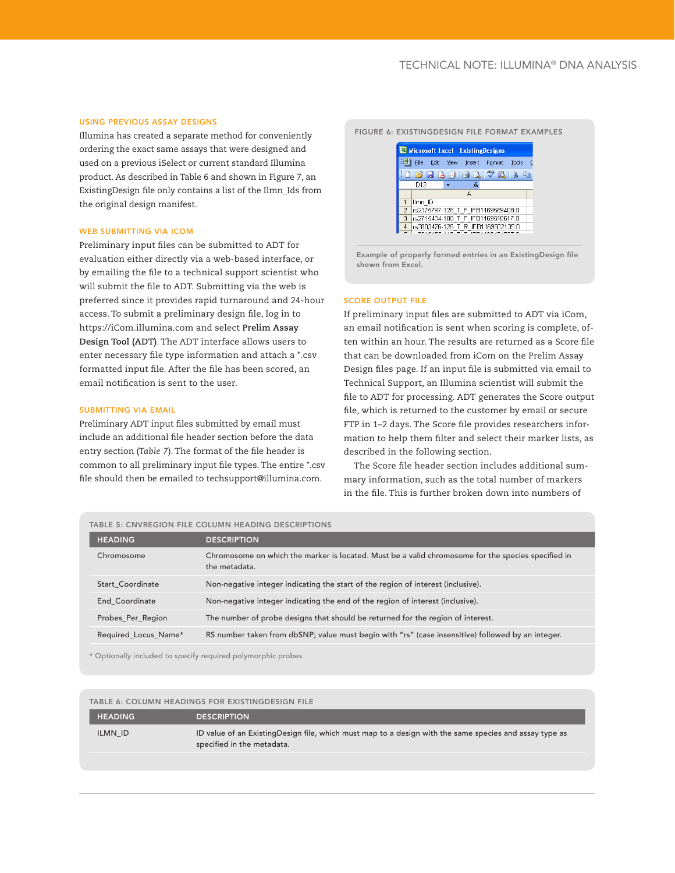### Using previous assay designs

Illumina has created a separate method for conveniently ordering the exact same assays that were designed and used on a previous iSelect or current standard Illumina product. As described in Table 6 and shown in Figure 7, an ExistingDesign file only contains a list of the Ilmn\_Ids from the original design manifest.

# WEB SUBMITTING VIA ICOM

Preliminary input files can be submitted to ADT for evaluation either directly via a web-based interface, or by emailing the file to a technical support scientist who will submit the file to ADT. Submitting via the web is preferred since it provides rapid turnaround and 24-hour access. To submit a preliminary design file, log in to https://iCom.illumina.com and select **Prelim Assay Design Tool (ADT)**. The ADT interface allows users to enter necessary file type information and attach a \*.csv formatted input file. After the file has been scored, an email notification is sent to the user.

# SUBMITTING VIA EMAIL

Preliminary ADT input files submitted by email must include an additional file header section before the data entry section (*Table 7*). The format of the file header is common to all preliminary input file types. The entire \*.csv file should then be emailed to techsupport@illumina.com.

#### Figure 6: ExistingDesign File format Examples



Example of properly formed entries in an ExistingDesign file shown from Excel.

#### Score output file

If preliminary input files are submitted to ADT via iCom, an email notification is sent when scoring is complete, often within an hour. The results are returned as a Score file that can be downloaded from iCom on the Prelim Assay Design files page. If an input file is submitted via email to Technical Support, an Illumina scientist will submit the file to ADT for processing. ADT generates the Score output file, which is returned to the customer by email or secure FTP in 1–2 days. The Score file provides researchers information to help them filter and select their marker lists, as described in the following section.

The Score file header section includes additional summary information, such as the total number of markers in the file. This is further broken down into numbers of

#### Table 5: CNVRegion FILE Column HEADING descriptions

| <b>HEADING</b>          | <b>DESCRIPTION</b>                                                                                                  |
|-------------------------|---------------------------------------------------------------------------------------------------------------------|
| Chromosome              | Chromosome on which the marker is located. Must be a valid chromosome for the species specified in<br>the metadata. |
| <b>Start Coordinate</b> | Non-negative integer indicating the start of the region of interest (inclusive).                                    |
| End Coordinate          | Non-negative integer indicating the end of the region of interest (inclusive).                                      |
| Probes_Per_Region       | The number of probe designs that should be returned for the region of interest.                                     |
| Required Locus Name*    | RS number taken from dbSNP; value must begin with "rs" (case insensitive) followed by an integer.                   |
|                         |                                                                                                                     |

\* Optionally included to specify required polymorphic probes

# Table 6: Column Headings for existingdesign file

| <b>HEADING</b> | <b>DESCRIPTION</b>                                                                                                                   |
|----------------|--------------------------------------------------------------------------------------------------------------------------------------|
| ILMN ID        | ID value of an ExistingDesign file, which must map to a design with the same species and assay type as<br>specified in the metadata. |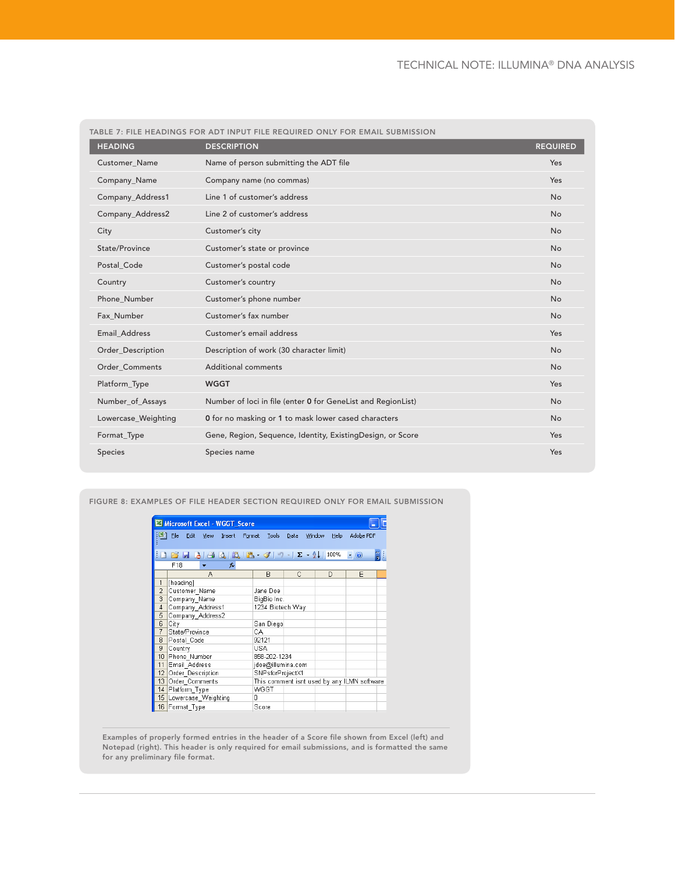|                       | TABLE 7: FILE HEADINGS FOR ADT INPUT FILE REQUIRED ONLY FOR EMAIL SUBMISSION |                 |
|-----------------------|------------------------------------------------------------------------------|-----------------|
| <b>HEADING</b>        | <b>DESCRIPTION</b>                                                           | <b>REQUIRED</b> |
| Customer_Name         | Name of person submitting the ADT file                                       | Yes             |
| Company_Name          | Company name (no commas)                                                     | Yes             |
| Company_Address1      | Line 1 of customer's address                                                 | <b>No</b>       |
| Company_Address2      | Line 2 of customer's address                                                 | <b>No</b>       |
| City                  | Customer's city                                                              | <b>No</b>       |
| State/Province        | Customer's state or province                                                 | <b>No</b>       |
| Postal Code           | Customer's postal code                                                       | <b>No</b>       |
| Country               | Customer's country                                                           | <b>No</b>       |
| Phone Number          | Customer's phone number                                                      | <b>No</b>       |
| Fax Number            | Customer's fax number                                                        | <b>No</b>       |
| <b>Email Address</b>  | Customer's email address                                                     | Yes             |
| Order_Description     | Description of work (30 character limit)                                     | <b>No</b>       |
| <b>Order Comments</b> | Additional comments                                                          | <b>No</b>       |
| Platform_Type         | <b>WGGT</b>                                                                  | Yes             |
| Number_of_Assays      | Number of loci in file (enter 0 for GeneList and RegionList)                 | <b>No</b>       |
| Lowercase_Weighting   | 0 for no masking or 1 to mask lower cased characters                         | <b>No</b>       |
| Format_Type           | Gene, Region, Sequence, Identity, ExistingDesign, or Score                   | Yes             |
| Species               | Species name                                                                 | Yes             |

Figure 8: Examples of file header section required only for email submission

|                 | Microsoft Excel - WGGT Score          |                   |      |                       |                                             |
|-----------------|---------------------------------------|-------------------|------|-----------------------|---------------------------------------------|
| 력1              | File<br>Edit<br><b>View</b><br>Insert | Tools<br>Format   | Data | <b>Window</b><br>Help | Adobe PDF                                   |
|                 | 1 6 5 6 6 6 6 6 6 - 3 - 1 - 1 - 2 - 2 |                   |      | 100%                  | $ \circ$                                    |
|                 | F18<br>fx.                            |                   |      |                       |                                             |
|                 | А                                     | R                 | C    | D                     | E                                           |
| 1               | [heading]                             |                   |      |                       |                                             |
| $\overline{2}$  | Customer Name                         | Jane Doe          |      |                       |                                             |
| 3               | Company_Name                          | BigBio Inc.       |      |                       |                                             |
| $\overline{4}$  | Company_Address1                      | 1234 Biotech Way  |      |                       |                                             |
| 5               | Company Address2                      |                   |      |                       |                                             |
| 6               | City                                  | San Diego         |      |                       |                                             |
| 7               | State/Province                        | CА                |      |                       |                                             |
| 8               | Postal Code                           | 92121             |      |                       |                                             |
| 9               | Country                               | <b>USA</b>        |      |                       |                                             |
| 10 <sup>1</sup> | Phone Number                          | 858-202-1234      |      |                       |                                             |
| 11              | Email Address                         | jdoe@illumina.com |      |                       |                                             |
| 12              | Order Description                     | SNPsforProjectX1  |      |                       |                                             |
| 13              | Order Comments                        |                   |      |                       | This comment isnt used by any ILMN software |
| 14              | Platform Type                         | WGGT              |      |                       |                                             |
| 15              | Lowercase_Weighting                   | 0                 |      |                       |                                             |
|                 | 16 Format Type<br>Score               |                   |      |                       |                                             |

Examples of properly formed entries in the header of a Score file shown from Excel (left) and Notepad (right). This header is only required for email submissions, and is formatted the same for any preliminary file format.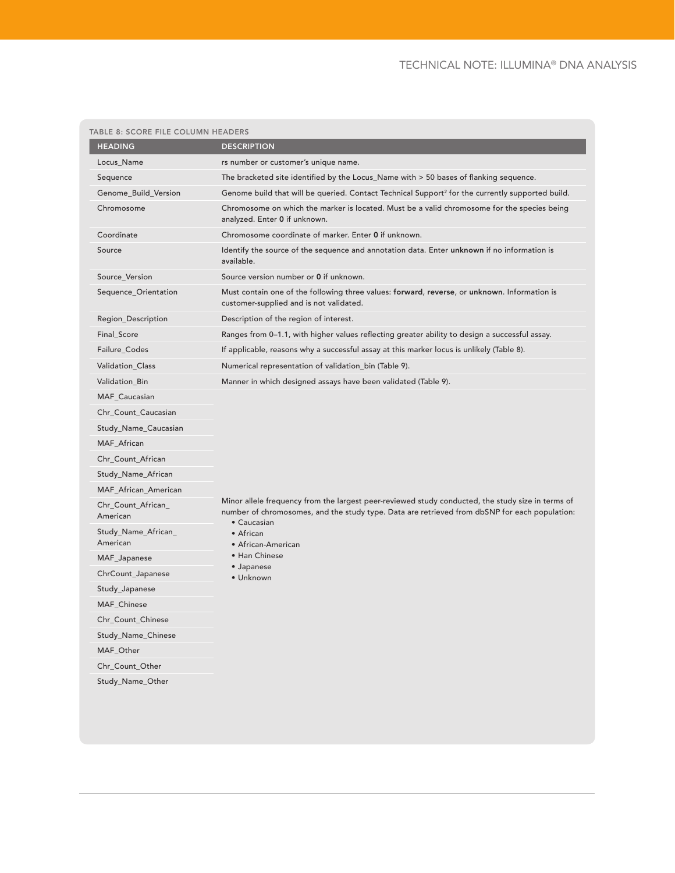# TECHNICAL NOTE: ILLUMINA® DNA ANALYSIS

| <b>HEADING</b>                  | <b>DESCRIPTION</b>                                                                                                                                                                                                |
|---------------------------------|-------------------------------------------------------------------------------------------------------------------------------------------------------------------------------------------------------------------|
| Locus_Name                      | rs number or customer's unique name.                                                                                                                                                                              |
| Sequence                        | The bracketed site identified by the Locus_Name with > 50 bases of flanking sequence.                                                                                                                             |
| Genome_Build_Version            | Genome build that will be queried. Contact Technical Support <sup>2</sup> for the currently supported build.                                                                                                      |
| Chromosome                      | Chromosome on which the marker is located. Must be a valid chromosome for the species being<br>analyzed. Enter 0 if unknown.                                                                                      |
| Coordinate                      | Chromosome coordinate of marker. Enter 0 if unknown.                                                                                                                                                              |
| Source                          | Identify the source of the sequence and annotation data. Enter unknown if no information is<br>available.                                                                                                         |
| Source_Version                  | Source version number or 0 if unknown.                                                                                                                                                                            |
| Sequence_Orientation            | Must contain one of the following three values: forward, reverse, or unknown. Information is<br>customer-supplied and is not validated.                                                                           |
| Region_Description              | Description of the region of interest.                                                                                                                                                                            |
| Final_Score                     | Ranges from 0-1.1, with higher values reflecting greater ability to design a successful assay.                                                                                                                    |
| Failure_Codes                   | If applicable, reasons why a successful assay at this marker locus is unlikely (Table 8).                                                                                                                         |
| Validation_Class                | Numerical representation of validation_bin (Table 9).                                                                                                                                                             |
| Validation_Bin                  | Manner in which designed assays have been validated (Table 9).                                                                                                                                                    |
| MAF_Caucasian                   |                                                                                                                                                                                                                   |
| Chr_Count_Caucasian             |                                                                                                                                                                                                                   |
| Study_Name_Caucasian            |                                                                                                                                                                                                                   |
| MAF_African                     |                                                                                                                                                                                                                   |
| Chr_Count_African               |                                                                                                                                                                                                                   |
| Study_Name_African              |                                                                                                                                                                                                                   |
| MAF_African_American            |                                                                                                                                                                                                                   |
| Chr_Count_African_<br>American  | Minor allele frequency from the largest peer-reviewed study conducted, the study size in terms of<br>number of chromosomes, and the study type. Data are retrieved from dbSNP for each population:<br>• Caucasian |
| Study_Name_African_<br>American | • African<br>• African-American                                                                                                                                                                                   |
| MAF_Japanese                    | • Han Chinese                                                                                                                                                                                                     |
| ChrCount_Japanese               | • Japanese<br>• Unknown                                                                                                                                                                                           |
| Study_Japanese                  |                                                                                                                                                                                                                   |
| MAF_Chinese                     |                                                                                                                                                                                                                   |
| Chr_Count_Chinese               |                                                                                                                                                                                                                   |
| Study_Name_Chinese              |                                                                                                                                                                                                                   |
| MAF_Other                       |                                                                                                                                                                                                                   |
| Chr_Count_Other                 |                                                                                                                                                                                                                   |
| Study_Name_Other                |                                                                                                                                                                                                                   |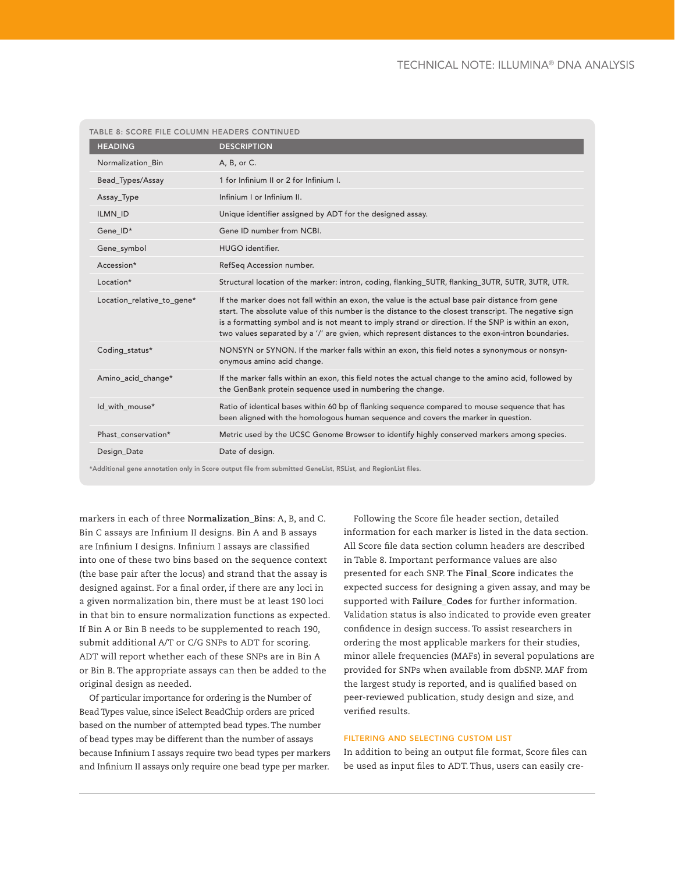| TABLE 8: SCORE FILE COLUMN HEADERS CONTINUED |                                                                                                                                                                                                                                                                                                                                                                                                                       |
|----------------------------------------------|-----------------------------------------------------------------------------------------------------------------------------------------------------------------------------------------------------------------------------------------------------------------------------------------------------------------------------------------------------------------------------------------------------------------------|
| <b>HEADING</b>                               | <b>DESCRIPTION</b>                                                                                                                                                                                                                                                                                                                                                                                                    |
| Normalization Bin                            | A, B, or C.                                                                                                                                                                                                                                                                                                                                                                                                           |
| Bead_Types/Assay                             | 1 for Infinium II or 2 for Infinium I.                                                                                                                                                                                                                                                                                                                                                                                |
| Assay_Type                                   | Infinium I or Infinium II.                                                                                                                                                                                                                                                                                                                                                                                            |
| ILMN ID                                      | Unique identifier assigned by ADT for the designed assay.                                                                                                                                                                                                                                                                                                                                                             |
| Gene ID*                                     | Gene ID number from NCBI.                                                                                                                                                                                                                                                                                                                                                                                             |
| Gene_symbol                                  | HUGO identifier.                                                                                                                                                                                                                                                                                                                                                                                                      |
| Accession*                                   | RefSeq Accession number.                                                                                                                                                                                                                                                                                                                                                                                              |
| Location*                                    | Structural location of the marker: intron, coding, flanking_5UTR, flanking_3UTR, 5UTR, 3UTR, UTR.                                                                                                                                                                                                                                                                                                                     |
| Location_relative_to_gene*                   | If the marker does not fall within an exon, the value is the actual base pair distance from gene<br>start. The absolute value of this number is the distance to the closest transcript. The negative sign<br>is a formatting symbol and is not meant to imply strand or direction. If the SNP is within an exon,<br>two values separated by a '/' are gvien, which represent distances to the exon-intron boundaries. |
| Coding_status*                               | NONSYN or SYNON. If the marker falls within an exon, this field notes a synonymous or nonsyn-<br>onymous amino acid change.                                                                                                                                                                                                                                                                                           |
| Amino_acid_change*                           | If the marker falls within an exon, this field notes the actual change to the amino acid, followed by<br>the GenBank protein sequence used in numbering the change.                                                                                                                                                                                                                                                   |
| Id_with_mouse*                               | Ratio of identical bases within 60 bp of flanking sequence compared to mouse sequence that has<br>been aligned with the homologous human sequence and covers the marker in question.                                                                                                                                                                                                                                  |
| Phast conservation*                          | Metric used by the UCSC Genome Browser to identify highly conserved markers among species.                                                                                                                                                                                                                                                                                                                            |
| Design_Date                                  | Date of design.                                                                                                                                                                                                                                                                                                                                                                                                       |
|                                              | *Additional gene annotation only in Score output file from submitted GeneList, RSList, and RegionList files.                                                                                                                                                                                                                                                                                                          |

markers in each of three **Normalization\_Bins**: A, B, and C. Bin C assays are Infinium II designs. Bin A and B assays are Infinium I designs. Infinium I assays are classified into one of these two bins based on the sequence context (the base pair after the locus) and strand that the assay is designed against. For a final order, if there are any loci in a given normalization bin, there must be at least 190 loci in that bin to ensure normalization functions as expected. If Bin A or Bin B needs to be supplemented to reach 190,

submit additional A/T or C/G SNPs to ADT for scoring. ADT will report whether each of these SNPs are in Bin A or Bin B. The appropriate assays can then be added to the original design as needed.

Of particular importance for ordering is the Number of Bead Types value, since iSelect BeadChip orders are priced based on the number of attempted bead types. The number of bead types may be different than the number of assays because Infinium I assays require two bead types per markers and Infinium II assays only require one bead type per marker.

Following the Score file header section, detailed information for each marker is listed in the data section. All Score file data section column headers are described in Table 8. Important performance values are also presented for each SNP. The **Final\_Score** indicates the expected success for designing a given assay, and may be supported with **Failure\_Codes** for further information. Validation status is also indicated to provide even greater confidence in design success. To assist researchers in ordering the most applicable markers for their studies, minor allele frequencies (MAFs) in several populations are provided for SNPs when available from dbSNP. MAF from the largest study is reported, and is qualified based on peer-reviewed publication, study design and size, and verified results.

# filtering and selecting custom list

In addition to being an output file format, Score files can be used as input files to ADT. Thus, users can easily cre-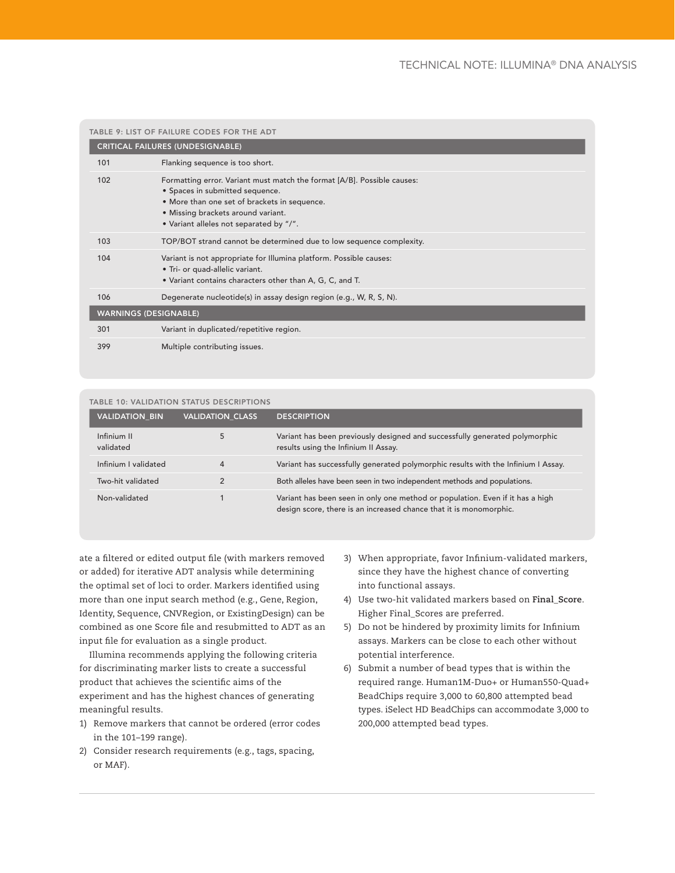|     | TABLE 9: LIST OF FAILURE CODES FOR THE ADT                                                                                                                                                                                                  |
|-----|---------------------------------------------------------------------------------------------------------------------------------------------------------------------------------------------------------------------------------------------|
|     | <b>CRITICAL FAILURES (UNDESIGNABLE)</b>                                                                                                                                                                                                     |
| 101 | Flanking sequence is too short.                                                                                                                                                                                                             |
| 102 | Formatting error. Variant must match the format [A/B]. Possible causes:<br>• Spaces in submitted sequence.<br>• More than one set of brackets in sequence.<br>• Missing brackets around variant.<br>• Variant alleles not separated by "/". |
| 103 | TOP/BOT strand cannot be determined due to low sequence complexity.                                                                                                                                                                         |
| 104 | Variant is not appropriate for Illumina platform. Possible causes:<br>• Tri- or quad-allelic variant.<br>. Variant contains characters other than A, G, C, and T.                                                                           |
| 106 | Degenerate nucleotide(s) in assay design region (e.g., W, R, S, N).                                                                                                                                                                         |
|     | <b>WARNINGS (DESIGNABLE)</b>                                                                                                                                                                                                                |
| 301 | Variant in duplicated/repetitive region.                                                                                                                                                                                                    |
| 399 | Multiple contributing issues.                                                                                                                                                                                                               |

| TABLE 10: VALIDATION STATUS DESCRIPTIONS |                         |                                                                                                                                                     |  |
|------------------------------------------|-------------------------|-----------------------------------------------------------------------------------------------------------------------------------------------------|--|
| <b>VALIDATION BIN</b>                    | <b>VALIDATION CLASS</b> | <b>DESCRIPTION</b>                                                                                                                                  |  |
| Infinium II<br>validated                 | 5                       | Variant has been previously designed and successfully generated polymorphic<br>results using the Infinium II Assay.                                 |  |
| Infinium I validated                     | $\overline{4}$          | Variant has successfully generated polymorphic results with the Infinium I Assay.                                                                   |  |
| Two-hit validated                        |                         | Both alleles have been seen in two independent methods and populations.                                                                             |  |
| Non-validated                            |                         | Variant has been seen in only one method or population. Even if it has a high<br>design score, there is an increased chance that it is monomorphic. |  |

ate a filtered or edited output file (with markers removed or added) for iterative ADT analysis while determining the optimal set of loci to order. Markers identified using more than one input search method (e.g., Gene, Region, Identity, Sequence, CNVRegion, or ExistingDesign) can be combined as one Score file and resubmitted to ADT as an input file for evaluation as a single product.

Illumina recommends applying the following criteria for discriminating marker lists to create a successful product that achieves the scientific aims of the experiment and has the highest chances of generating meaningful results.

- 1) Remove markers that cannot be ordered (error codes in the 101–199 range).
- 2) Consider research requirements (e.g., tags, spacing, or MAF).
- 3) When appropriate, favor Infinium-validated markers, since they have the highest chance of converting into functional assays.
- 4) Use two-hit validated markers based on **Final\_Score**. Higher Final\_Scores are preferred.
- 5) Do not be hindered by proximity limits for Infinium assays. Markers can be close to each other without potential interference.
- 6) Submit a number of bead types that is within the required range. Human1M-Duo+ or Human550-Quad+ BeadChips require 3,000 to 60,800 attempted bead types. iSelect HD BeadChips can accommodate 3,000 to 200,000 attempted bead types.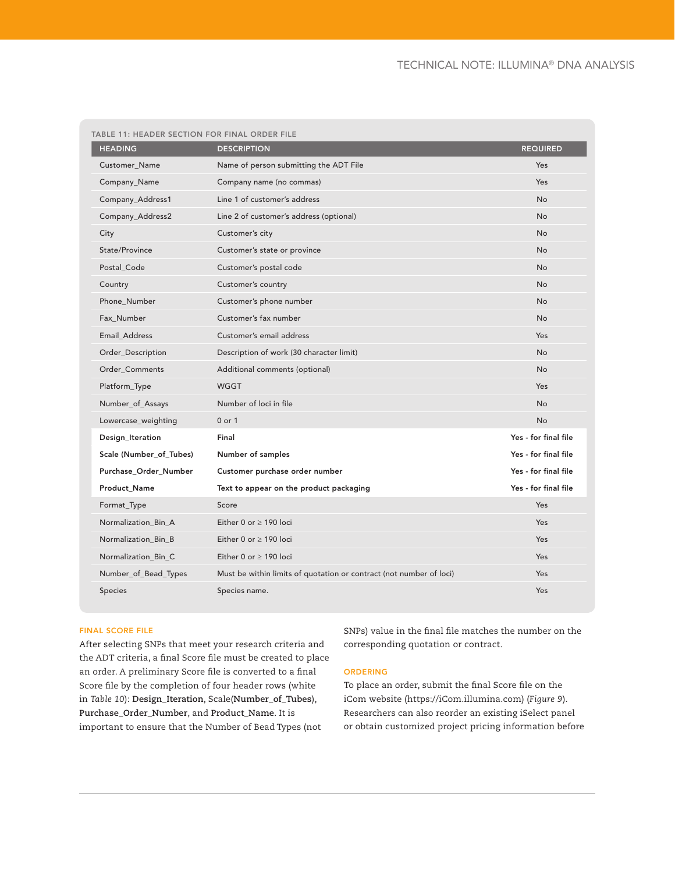| TABLE 11: HEADER SECTION FOR FINAL ORDER FILE |                                                                     |                      |
|-----------------------------------------------|---------------------------------------------------------------------|----------------------|
| <b>HEADING</b>                                | <b>DESCRIPTION</b>                                                  | <b>REQUIRED</b>      |
| <b>Customer Name</b>                          | Name of person submitting the ADT File                              | Yes                  |
| Company_Name                                  | Company name (no commas)                                            | Yes                  |
| Company_Address1                              | Line 1 of customer's address                                        | <b>No</b>            |
| Company_Address2                              | Line 2 of customer's address (optional)                             | <b>No</b>            |
| City                                          | Customer's city                                                     | <b>No</b>            |
| State/Province                                | Customer's state or province                                        | <b>No</b>            |
| Postal Code                                   | Customer's postal code                                              | <b>No</b>            |
| Country                                       | Customer's country                                                  | <b>No</b>            |
| Phone_Number                                  | Customer's phone number                                             | <b>No</b>            |
| Fax Number                                    | Customer's fax number                                               | <b>No</b>            |
| Email Address                                 | Customer's email address                                            | Yes                  |
| Order_Description                             | Description of work (30 character limit)                            | <b>No</b>            |
| Order_Comments                                | Additional comments (optional)                                      | <b>No</b>            |
| Platform_Type                                 | <b>WGGT</b>                                                         | Yes                  |
| Number_of_Assays                              | Number of loci in file                                              | <b>No</b>            |
| Lowercase_weighting                           | 0 or 1                                                              | <b>No</b>            |
| Design_Iteration                              | Final                                                               | Yes - for final file |
| Scale (Number_of_Tubes)                       | Number of samples                                                   | Yes - for final file |
| Purchase_Order_Number                         | Customer purchase order number                                      | Yes - for final file |
| <b>Product Name</b>                           | Text to appear on the product packaging                             | Yes - for final file |
| Format_Type                                   | Score                                                               | Yes                  |
| Normalization_Bin_A                           | Either 0 or $\geq$ 190 loci                                         | Yes                  |
| Normalization_Bin_B                           | Either 0 or $>$ 190 loci                                            | Yes                  |
| Normalization_Bin_C                           | Either 0 or $\geq$ 190 loci                                         | Yes                  |
| Number_of_Bead_Types                          | Must be within limits of quotation or contract (not number of loci) | Yes                  |
| Species                                       | Species name.                                                       | Yes                  |

# Final Score File

After selecting SNPs that meet your research criteria and the ADT criteria, a final Score file must be created to place an order. A preliminary Score file is converted to a final Score file by the completion of four header rows (white in *Table 10*): **Design\_Iteration**, Scale(**Number\_of\_Tubes**), **Purchase\_Order\_Number**, and **Product\_Name**. It is important to ensure that the Number of Bead Types (not

SNPs) value in the final file matches the number on the corresponding quotation or contract.

# **ORDERING**

To place an order, submit the final Score file on the iCom website (https://iCom.illumina.com) (*Figure 9*). Researchers can also reorder an existing iSelect panel or obtain customized project pricing information before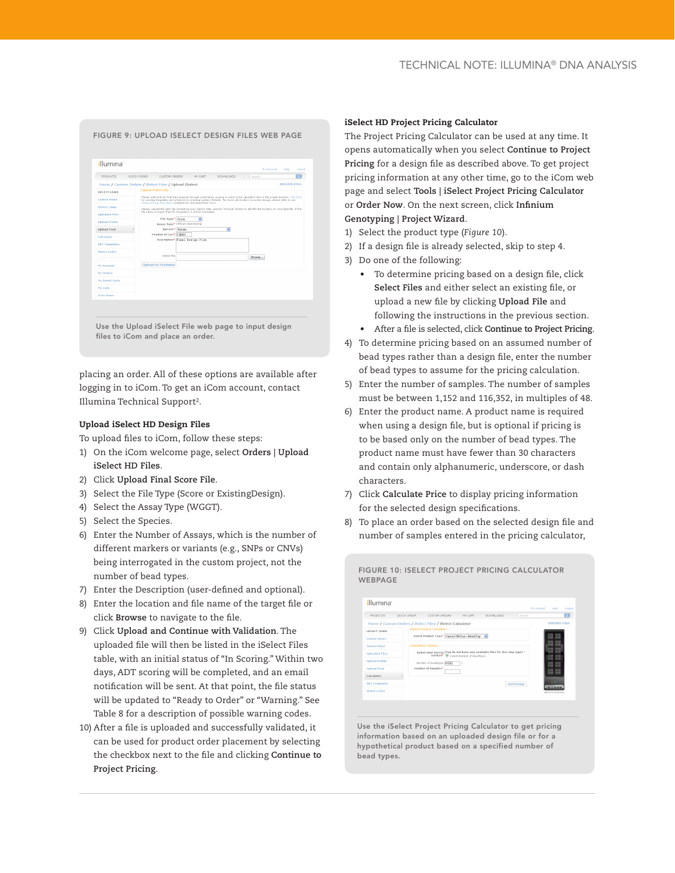# Figure 9: Upload iSelect Design Files web page



placing an order. All of these options are available after logging in to iCom. To get an iCom account, contact Illumina Technical Support2.

#### Upload iSelect HD Design Files

To upload files to iCom, follow these steps:

- 1) On the iCom welcome page, select **Orders | Upload iSelect HD Files**.
- 2) Click **Upload Final Score File**.
- 3) Select the File Type (Score or ExistingDesign).
- 4) Select the Assay Type (WGGT).
- 5) Select the Species.
- 6) Enter the Number of Assays, which is the number of different markers or variants (e.g., SNPs or CNVs) being interrogated in the custom project, not the number of bead types.
- 7) Enter the Description (user-defined and optional).
- 8) Enter the location and file name of the target file or click **Browse** to navigate to the file.
- 9) Click **Upload and Continue with Validation**. The uploaded file will then be listed in the iSelect Files table, with an initial status of "In Scoring." Within two days, ADT scoring will be completed, and an email notification will be sent. At that point, the file status will be updated to "Ready to Order" or "Warning." See Table 8 for a description of possible warning codes.
- 10) After a file is uploaded and successfully validated, it can be used for product order placement by selecting the checkbox next to the file and clicking **Continue to Project Pricing**.

#### iSelect HD Project Pricing Calculator

The Project Pricing Calculator can be used at any time. It opens automatically when you select **Continue to Project Pricing** for a design file as described above. To get project pricing information at any other time, go to the iCom web page and select **Tools | iSelect Project Pricing Calculator** or **Order Now**. On the next screen, click **Infinium Genotyping | Project Wizard**.

- 1) Select the product type (*Figure 10*).
- 2) If a design file is already selected, skip to step 4.
- 3) Do one of the following:
	- To determine pricing based on a design file, click **Select Files** and either select an existing file, or upload a new file by clicking **Upload File** and following the instructions in the previous section.
	- After a file is selected, click **Continue to Project Pricing**.
- 4) To determine pricing based on an assumed number of bead types rather than a design file, enter the number of bead types to assume for the pricing calculation.
- 5) Enter the number of samples. The number of samples must be between 1,152 and 116,352, in multiples of 48.
- 6) Enter the product name. A product name is required when using a design file, but is optional if pricing is to be based only on the number of bead types. The product name must have fewer than 30 characters and contain only alphanumeric, underscore, or dash characters.
- 7) Click **Calculate Price** to display pricing information for the selected design specifications.
- 8) To place an order based on the selected design file and number of samples entered in the pricing calculator,



Use the iSelect Project Pricing Calculator to get pricing information based on an uploaded design file or for a hypothetical product based on a specified number of bead types.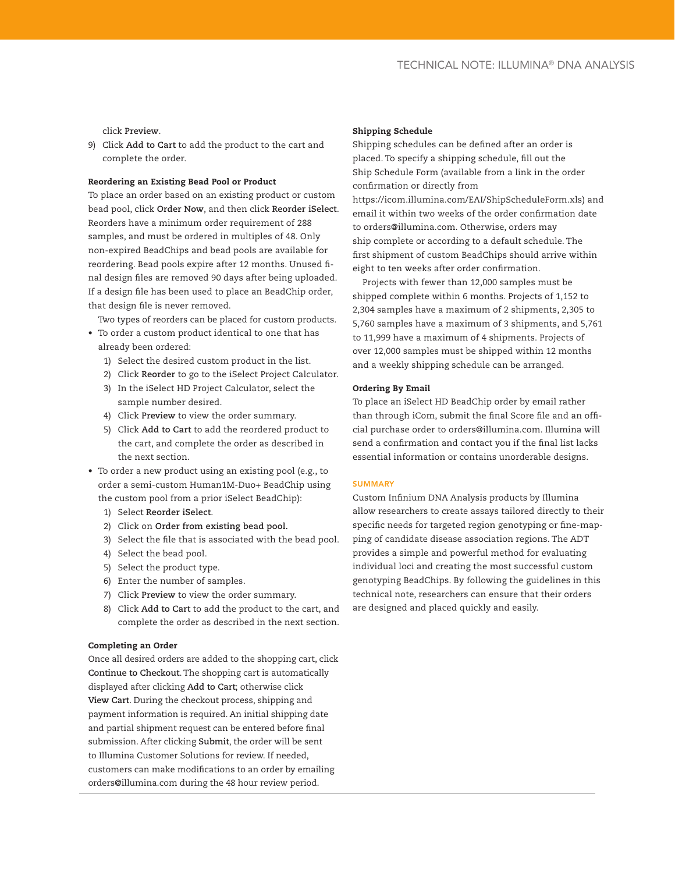click **Preview**.

9) Click **Add to Cart** to add the product to the cart and complete the order.

# Reordering an Existing Bead Pool or Product

To place an order based on an existing product or custom bead pool, click **Order Now**, and then click **Reorder iSelect**. Reorders have a minimum order requirement of 288 samples, and must be ordered in multiples of 48. Only non-expired BeadChips and bead pools are available for reordering. Bead pools expire after 12 months. Unused final design files are removed 90 days after being uploaded. If a design file has been used to place an BeadChip order, that design file is never removed.

Two types of reorders can be placed for custom products.

- To order a custom product identical to one that has already been ordered:
	- 1) Select the desired custom product in the list.
	- 2) Click **Reorder** to go to the iSelect Project Calculator.
	- 3) In the iSelect HD Project Calculator, select the sample number desired.
	- 4) Click **Preview** to view the order summary.
	- 5) Click **Add to Cart** to add the reordered product to the cart, and complete the order as described in the next section.
- To order a new product using an existing pool (e.g., to order a semi-custom Human1M-Duo+ BeadChip using the custom pool from a prior iSelect BeadChip):
	- 1) Select **Reorder iSelect**.
	- 2) Click on **Order from existing bead pool.**
	- 3) Select the file that is associated with the bead pool.
	- 4) Select the bead pool.
	- 5) Select the product type.
	- 6) Enter the number of samples.
	- 7) Click **Preview** to view the order summary.
	- 8) Click **Add to Cart** to add the product to the cart, and complete the order as described in the next section.

#### Completing an Order

Once all desired orders are added to the shopping cart, click **Continue to Checkout**. The shopping cart is automatically displayed after clicking **Add to Cart**; otherwise click **View Cart**. During the checkout process, shipping and payment information is required. An initial shipping date and partial shipment request can be entered before final submission. After clicking **Submit**, the order will be sent to Illumina Customer Solutions for review. If needed, customers can make modifications to an order by emailing orders@illumina.com during the 48 hour review period.

#### Shipping Schedule

Shipping schedules can be defined after an order is placed. To specify a shipping schedule, fill out the Ship Schedule Form (available from a link in the order confirmation or directly from

https://icom.illumina.com/EAI/ShipScheduleForm.xls) and email it within two weeks of the order confirmation date to orders@illumina.com. Otherwise, orders may ship complete or according to a default schedule. The first shipment of custom BeadChips should arrive within eight to ten weeks after order confirmation.

Projects with fewer than 12,000 samples must be shipped complete within 6 months. Projects of 1,152 to 2,304 samples have a maximum of 2 shipments, 2,305 to 5,760 samples have a maximum of 3 shipments, and 5,761 to 11,999 have a maximum of 4 shipments. Projects of over 12,000 samples must be shipped within 12 months and a weekly shipping schedule can be arranged.

#### Ordering By Email

To place an iSelect HD BeadChip order by email rather than through iCom, submit the final Score file and an official purchase order to orders@illumina.com. Illumina will send a confirmation and contact you if the final list lacks essential information or contains unorderable designs.

# **SUMMARY**

Custom Infinium DNA Analysis products by Illumina allow researchers to create assays tailored directly to their specific needs for targeted region genotyping or fine-mapping of candidate disease association regions. The ADT provides a simple and powerful method for evaluating individual loci and creating the most successful custom genotyping BeadChips. By following the guidelines in this technical note, researchers can ensure that their orders are designed and placed quickly and easily.